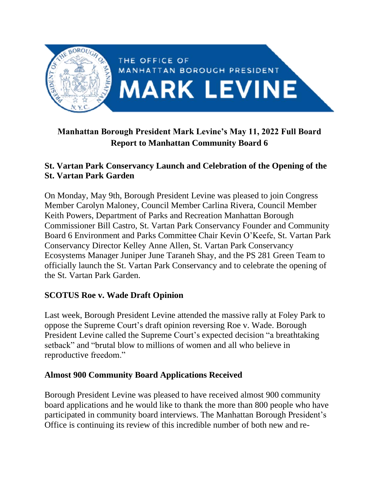

# **Manhattan Borough President Mark Levine's May 11, 2022 Full Board Report to Manhattan Community Board 6**

## **St. Vartan Park Conservancy Launch and Celebration of the Opening of the St. Vartan Park Garden**

On Monday, May 9th, Borough President Levine was pleased to join Congress Member Carolyn Maloney, Council Member Carlina Rivera, Council Member Keith Powers, Department of Parks and Recreation Manhattan Borough Commissioner Bill Castro, St. Vartan Park Conservancy Founder and Community Board 6 Environment and Parks Committee Chair Kevin O'Keefe, St. Vartan Park Conservancy Director Kelley Anne Allen, St. Vartan Park Conservancy Ecosystems Manager Juniper June Taraneh Shay, and the PS 281 Green Team to officially launch the St. Vartan Park Conservancy and to celebrate the opening of the St. Vartan Park Garden.

### **SCOTUS Roe v. Wade Draft Opinion**

Last week, Borough President Levine attended the massive rally at Foley Park to oppose the Supreme Court's draft opinion reversing Roe v. Wade. Borough President Levine called the Supreme Court's expected decision "a breathtaking setback" and "brutal blow to millions of women and all who believe in reproductive freedom."

#### **Almost 900 Community Board Applications Received**

Borough President Levine was pleased to have received almost 900 community board applications and he would like to thank the more than 800 people who have participated in community board interviews. The Manhattan Borough President's Office is continuing its review of this incredible number of both new and re